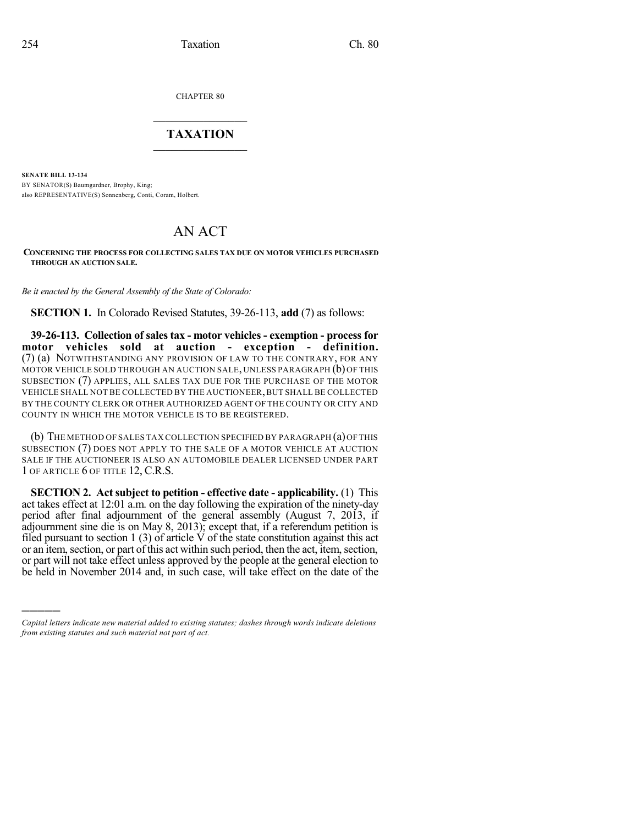)))))

CHAPTER 80

## $\overline{\phantom{a}}$  . The set of the set of the set of the set of the set of the set of the set of the set of the set of the set of the set of the set of the set of the set of the set of the set of the set of the set of the set o **TAXATION**  $\_$

**SENATE BILL 13-134** BY SENATOR(S) Baumgardner, Brophy, King; also REPRESENTATIVE(S) Sonnenberg, Conti, Coram, Holbert.

## AN ACT

**CONCERNING THE PROCESS FOR COLLECTING SALES TAX DUE ON MOTOR VEHICLES PURCHASED THROUGH AN AUCTION SALE.**

*Be it enacted by the General Assembly of the State of Colorado:*

**SECTION 1.** In Colorado Revised Statutes, 39-26-113, **add** (7) as follows:

**39-26-113. Collection of sales tax - motor vehicles - exemption - process for motor vehicles sold at auction - exception - definition.** (7) (a) NOTWITHSTANDING ANY PROVISION OF LAW TO THE CONTRARY, FOR ANY MOTOR VEHICLE SOLD THROUGH AN AUCTION SALE, UNLESS PARAGRAPH (b) OF THIS SUBSECTION (7) APPLIES, ALL SALES TAX DUE FOR THE PURCHASE OF THE MOTOR VEHICLE SHALL NOT BE COLLECTED BY THE AUCTIONEER,BUT SHALL BE COLLECTED BY THE COUNTY CLERK OR OTHER AUTHORIZED AGENT OF THE COUNTY OR CITY AND COUNTY IN WHICH THE MOTOR VEHICLE IS TO BE REGISTERED.

(b) THE METHOD OF SALES TAX COLLECTION SPECIFIED BY PARAGRAPH (a)OF THIS SUBSECTION (7) DOES NOT APPLY TO THE SALE OF A MOTOR VEHICLE AT AUCTION SALE IF THE AUCTIONEER IS ALSO AN AUTOMOBILE DEALER LICENSED UNDER PART 1 OF ARTICLE 6 OF TITLE 12, C.R.S.

**SECTION 2. Act subject to petition - effective date - applicability.** (1) This act takes effect at 12:01 a.m. on the day following the expiration of the ninety-day period after final adjournment of the general assembly (August 7, 2013, if adjournment sine die is on May 8, 2013); except that, if a referendum petition is filed pursuant to section 1 (3) of article  $\acute{V}$  of the state constitution against this act or an item, section, or part of this act within such period, then the act, item, section, or part will not take effect unless approved by the people at the general election to be held in November 2014 and, in such case, will take effect on the date of the

*Capital letters indicate new material added to existing statutes; dashes through words indicate deletions from existing statutes and such material not part of act.*